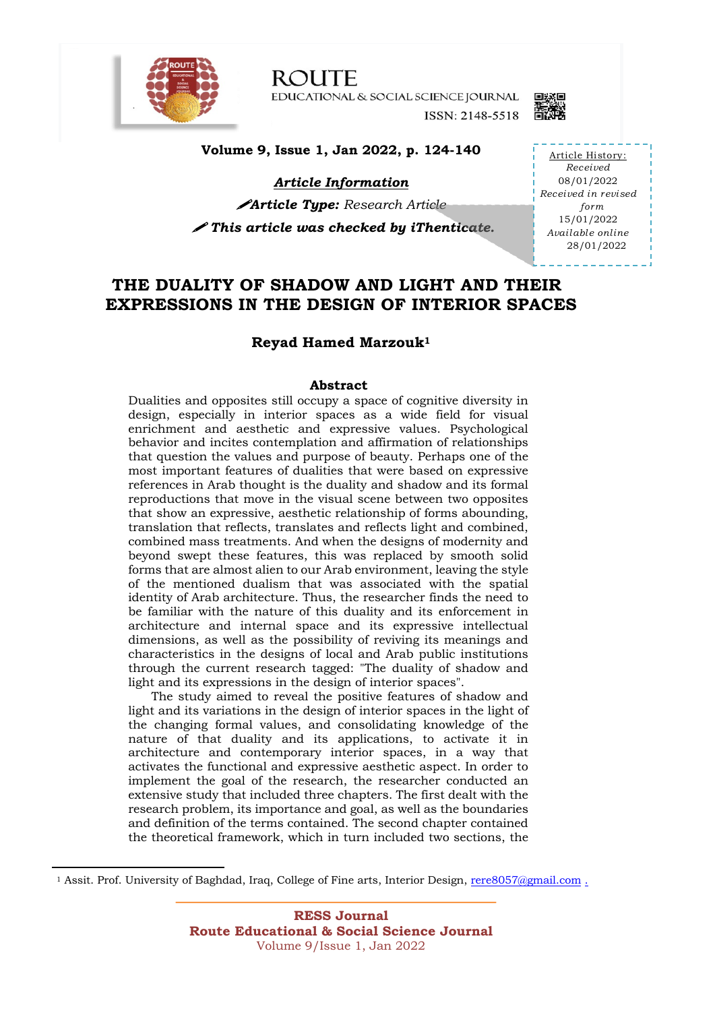

**ROUTE** EDUCATIONAL & SOCIAL SCIENCE JOURNAL ISSN: 2148-5518



**Volume 9, Issue 1, Jan 2022, p. 124-140**

*Article Information*

!*Article Type: Research Article* ! *This article was checked by iThenticate.* 

Article History: *Received* 08/01/2022 *Received in revised form* 15/01/2022 *Available online* 28/01/2022

## **THE DUALITY OF SHADOW AND LIGHT AND THEIR EXPRESSIONS IN THE DESIGN OF INTERIOR SPACES**

#### **Reyad Hamed Marzouk1**

#### **Abstract**

Dualities and opposites still occupy a space of cognitive diversity in design, especially in interior spaces as a wide field for visual enrichment and aesthetic and expressive values. Psychological behavior and incites contemplation and affirmation of relationships that question the values and purpose of beauty. Perhaps one of the most important features of dualities that were based on expressive references in Arab thought is the duality and shadow and its formal reproductions that move in the visual scene between two opposites that show an expressive, aesthetic relationship of forms abounding, translation that reflects, translates and reflects light and combined, combined mass treatments. And when the designs of modernity and beyond swept these features, this was replaced by smooth solid forms that are almost alien to our Arab environment, leaving the style of the mentioned dualism that was associated with the spatial identity of Arab architecture. Thus, the researcher finds the need to be familiar with the nature of this duality and its enforcement in architecture and internal space and its expressive intellectual dimensions, as well as the possibility of reviving its meanings and characteristics in the designs of local and Arab public institutions through the current research tagged: "The duality of shadow and light and its expressions in the design of interior spaces".

 The study aimed to reveal the positive features of shadow and light and its variations in the design of interior spaces in the light of the changing formal values, and consolidating knowledge of the nature of that duality and its applications, to activate it in architecture and contemporary interior spaces, in a way that activates the functional and expressive aesthetic aspect. In order to implement the goal of the research, the researcher conducted an extensive study that included three chapters. The first dealt with the research problem, its importance and goal, as well as the boundaries and definition of the terms contained. The second chapter contained the theoretical framework, which in turn included two sections, the

<sup>1</sup> Assit. Prof. University of Baghdad, Iraq, College of Fine arts, Interior Design, rere8057@gmail.com .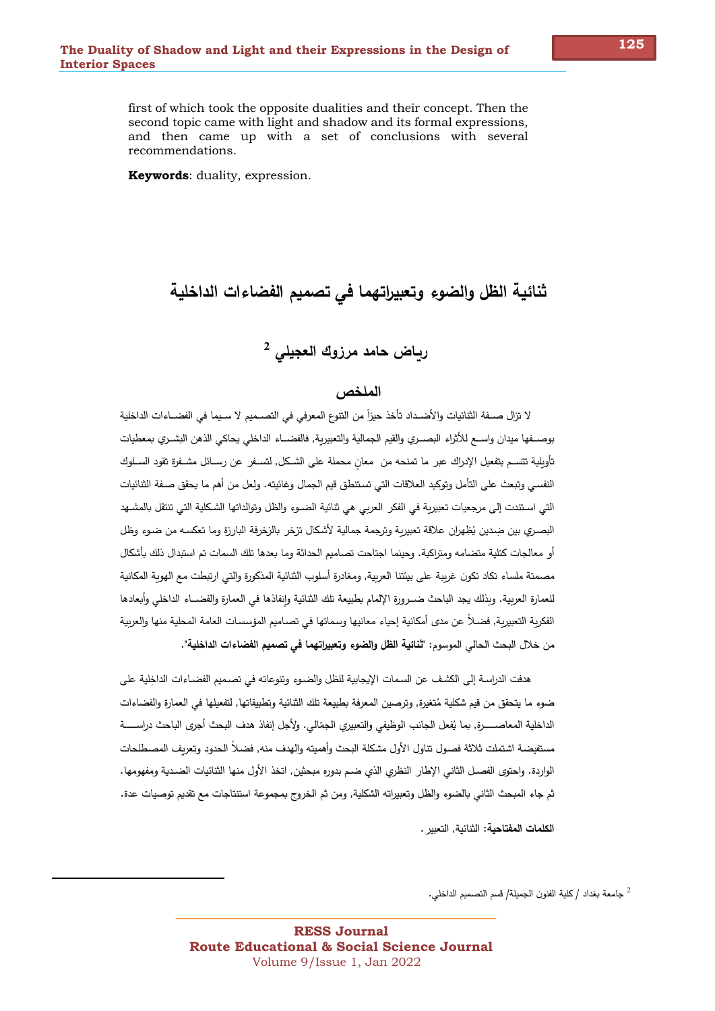first of which took the opposite dualities and their concept. Then the second topic came with light and shadow and its formal expressions, and then came up with a set of conclusions with several recommendations.

**Keywords:** duality, expression.

# ثنائية الظل والضوء وتعبيراتهما فى تصميم الفضاءات الداخلية

# رياض حامد مرزوك العجيلي <sup>2</sup>

#### الملخص

لا تزال صــفة الثنائيات والأضــداد تأخذ حيزاً من التنوع المعرفي في التصــميم لا سـيما في الفضــاءات الداخلية بوصــفها ميدان واســع للأثراء البصــري والقيم الجمالية والتعبيربة, فالفضــاء الداخلي يحاكي الذهن البشــري بمعطيات تأوبلية تتسـم بتفعيل الإدراك عبر ما تمنحه من معان محملة على الشـكل, لتسـفر عن رسـائل مشـفرة تقود السـلوك النفسي وتبعث على التأمل وتوكيد العلاقات التي تستنطق قيم الجمال وغائيته. ولعل من أهم ما يحقق صفة الثنائيات التي استندت إلى مرجعيات تعبيرية في الفكر العربي هي ثنائية الضـوء والظل وتوالداتها الشكلية التي تنتقل بالمشـهد البصري بين ضِدين يُظِهران علاقة تعبيرية وترجمة جمالية لأشكال تزخر بالزخرفة البارزة وما تعكسه من ضوء وظل أو معالجات كتلية متضامه ومتراكبة. وحينما اجتاحت تصاميم الحداثة وما بعدها تلك السمات تم استبدال ذلك بأشكال مصمتة ملساء تكاد تكون غرببة على بيئتنا العربية, ومغادرة أسلوب الثنائية المذكورة وإلتي ارتبطت مع الهوبة المكانية للعمارة العربية. وبذلك يجد الباحث ضبرورة الإلمام بطبيعة تلك الثنائية وانفاذها في العمارة والفضباء الداخلي وأبعادها الفكرية التعبيرية, فضـلاً عن مدى أمكانية إحياء معانيها وسماتها في تصـاميم المؤسسات العامة المحلية منها والعربية من خلال البحث الحالي الموسوم: "تْنائية الظل والضوء وتعبيراتهما في تصميم الفضاءات الداخلية".

هدفت الدراسة إلى الكشف عن السمات الإيجابية للظل والضـوءِ وتتوعاته في تصـميم الفضـاءات الداخلية على ضوءِ ما يتحقق من قيم شكلية مُتغيرة, وبرصين المعرفة بطبيعة تلك الثتائية وتطبيقاتها, لتفعيلها في العمارة والفضاءات الداخلية المعاصـــــرة, بما يُفعل الجانب الوظيفي والتعبيري الجمّالي. ولأجل إنفاذ هدف البحث أجرى الباحث دراســـــة مستفيضة اشتملت ثلاثة فصول تناول الأول مشكلة البحث وأهميته والهدف منه, فضلاً الحدود وتعربف المصطلحات الواردة. واحتوى الفصـل الثاني الإطار النظري الذي ضـم بدوره مبحثين, اتخذ الأول منها الثتائيات الضـدية ومفهومها. ثم جاء المبحث الثاني بالضوء والظل وتعبيراته الشكلية, ومن ثم الخروج بمجموعة استتتاجات مع تقديم توصيات عدة.

الكلمات المفتاحية: الثنائية, التعبير .

جامعة بغداد / كلية الفنون الجميلة/ قسم التصميم الداخلي.  $^2$ 

125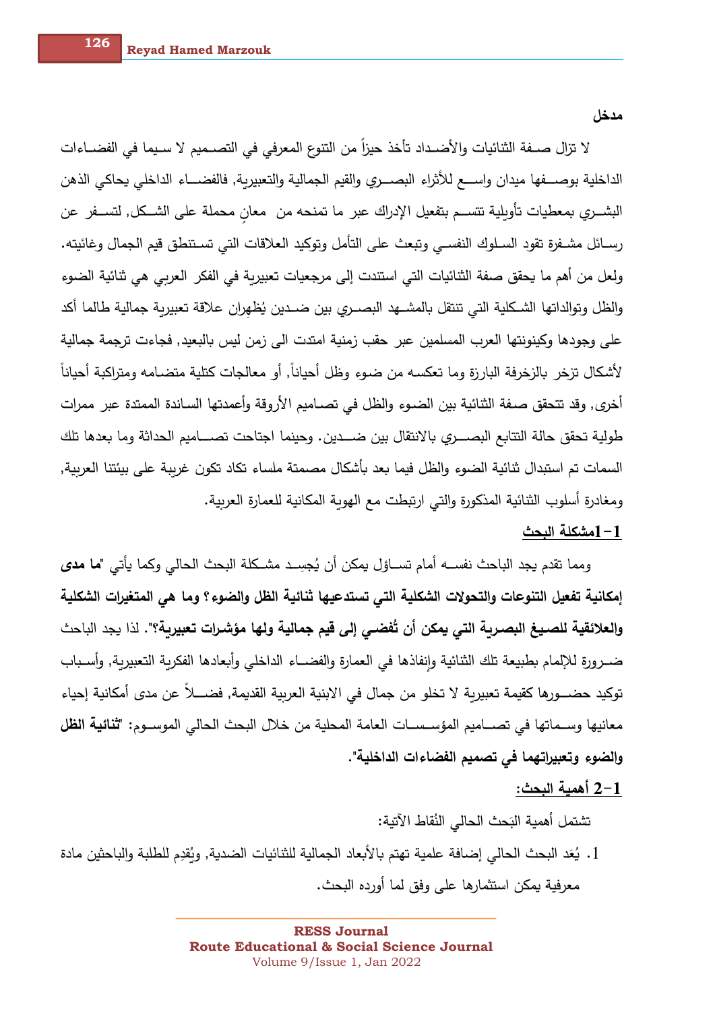مدخل

لا تزال صــفة الثنائيات والأضــداد تأخذ حيزاً من التتوع المعرفي في التصــميم لا سـيما في الفضــاءات الداخلية بوصـــفها ميدان واســـع للأثراء البصـــري والقيم الجمالية والتعبيربـة, فالفضـــاء الداخلي يحاكي الذهن البشـــري بمعطيات تأويلية تتســم بتفعيل الإدراك عبر ما تمنحه من معانٍ محملة على الشــكل, لتســفر عن رسـائل مشـفرة تقود السـلوك النفسـي وتبعث على التأمل وتوكيد العلاقات التي تسـتنطق قيم الجمال وغائيته. ولعل من أهم ما يحقق صفة الثنائيات التي استندت إلى مرجعيات تعبيربة في الفكر العربي هي ثنائية الضوء والظل وتوالداتها الشكلية التي تنتقل بالمشــهد البصــري بين ضــدين يُظهران علاقة تعبيرية جمالية طالما أكد على وجودها وكينونتها العرب المسلمين عبر حقب زمنية امتدت الى زمن ليس بالبعيد٬ فجاءت ترجمة جمالية لأشكال تزخر بالزخرفة البارزة وما تعكسه من ضوء وظل أحياناً, أو معالجات كتلية متضامه ومتراكبة أحياناً أُخرى, وقد تتحقق صـفة الثنائية بين الضـوء والظل فـي تصـاميم الأروقة وأعمدتها السـاندة الممتدة عبر ممرات طولية تحقق حالة التتابع البصـــري بالانتقال بين ضـــدين. وحينما اجتاحت تصـــاميم الحداثة وما بعدها تلك السمات تم استبدال ثنائية الضوء والظل فيما بعد بأشكال مصمتة ملساء تكاد تكون غرببة على بيئتنا العربية, ومغادرة أسلوب الثنائية المذكورة والتي ارتبطت مع الهوبة المكانية للعمارة العربية.

### 1–1مشكلة البحث

ومما نقدم يجد الباحث نفســه أمام تســاؤل يمكن أن يُجسِـد مشــكلة البحث الحالي وكما يأتي "ما مدى إمكانية تفعيل التنوعات والتحولات الشكلية التي تستدعيها ثنائية الظل والضوء؟ وما هي المتغيرات الشكلية والعلائقية للصبيغ البصربة التي يمكن أن تُفضي إلى قيم جمالية ولها مؤشرات تعبيربة؟". لذا يجد الباحث ضــرورة للإلمام بطبيعة تلك الثنائية وإنفاذها في العمارة والفضــاء الداخلي وأبعادها الفكربة التعبيربة, وأسـباب توكيد حضـــورها كقيمة تعبيرية لا تخلو من جمال في الابنية العربية القديمة, فضــــلاً عن مدى أمكانية إحياء معانيها وسـماتها في تصـــاميم المؤســســات العامة المحلية من خلال البحث الحالي الموســوم: "**ثنائية الظل** والضوء وتعبيراتهما في تصميم الفضاءات الداخلية".

### 2-1 أهمية البحث:

تشتمل أهمية البَحث الحالي النُقاط الآتية:

1. يُعَد البحث الحالي إضافة علمية تهتم بالأبعاد الجمالية للثنائيات الضدية, وبُقدِم للطلبة والباحثين مادة معرفية يمكن استثمارها على وفق لما أورده البحث.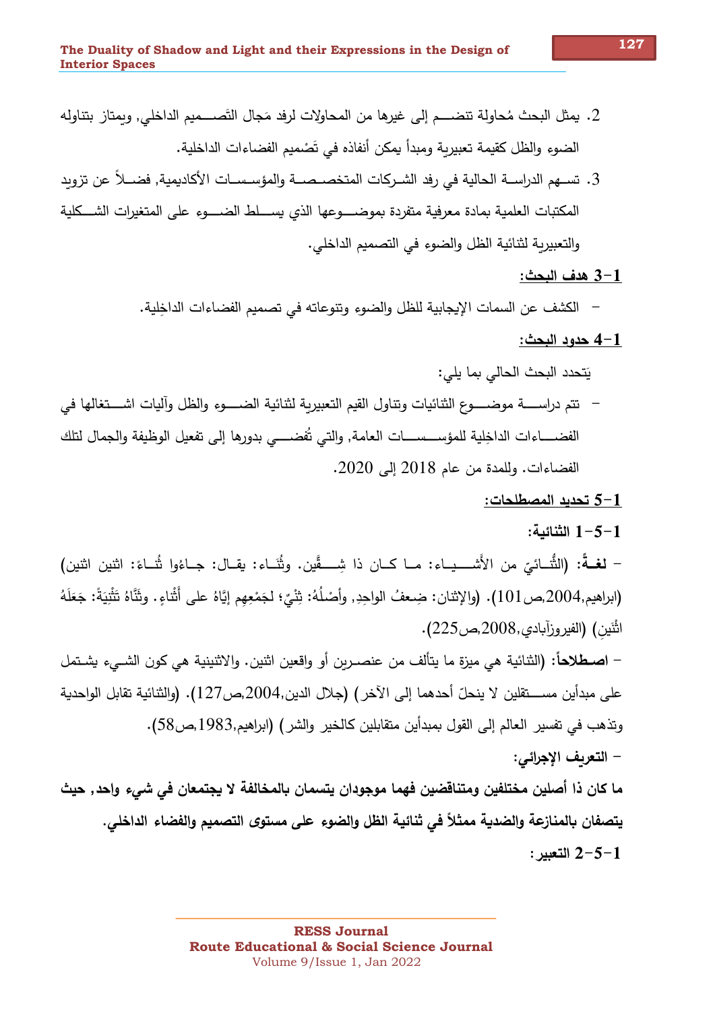- 2. يمثل البحث مُحاولة تنضـــم إلى غيرها من المحاولات لرفد مَجال التَصــــميم الداخلي, وبمتاز بتناوله الضوءِ والظل كقيمة تعبيرية ومبدأ يمكن أنفاذه في تَصْميم الفضاءات الداخلية.
- 3. تســهم الدراســة الحالية في رفد الشــركات المتخصــصــة والمؤسـســات الأكاديمية, فضـــلاً عن تزوبد المكتبات العلمية بمادة معرفية متفردة بموضــــوعها الذى يســــلط الضـــــوء على المتغيرات الشـــكلية والتعبيرية لثنائية الظل والضوءِ في التصميم الداخلي.

#### 1-3 هدف البحث:

− الكشف عن السمات الإيجابية للظل والضوء وتتوعاته في تصميم الفضاءات الداخِلية.

### 4-1 حدود البحث:

يَتحدد البحث الحالي بما يلي:

– نتم دراســـــة موضـــــوع الثنائيات وتناول القيم التعبيربـة لثنائيـة الضـــــوء والظل وآليات اشــــتغالها في الفضـــــاءات الداخِلية للمؤســــســــات العامة, والتي تُفضـــــي بدورها إلى تفعيل الوظيفة والجمال لتلك الفضاءات. وللمدة من عام 2018 إلى 2020.

#### تحديد المصطلحات:  $5\hbox{--}1$

### الثنائية:  $1 - 5 - 1$

– لغــةً: (الثُّنــائيّ من الأَشـــيـاء: مــا كــان ذا شِــــقَّين. وثُنَــاء: يقــال: جــاءُوا ثُنــاءَ: اثنين اثنين) (ابراهيم,2004,ص101). (والإثنان: ضعفُ الواحدِ, وأصْلُهُ: ثِثْيٌ؛ لجَمْعِهم إِيَّاهُ على أَثْناءِ. وثَنَّاهُ تَثْنِيَةً: جَعَلَهُ اشْيَن) (الفيروزآبادي,2008,ص225).

– اصطلاحاً: (الثنائية هي ميزة ما يتألف من عنصـربن أو واقعين اثنين. والاثنينية هي كون الشــيء يشـتمل على مبدأين مســــتقلين لا ينحلّ أحدهما إلى الآخر ) (جلال الدين,2004,ص127). (والثنائية تقابل الواحدية وتذهب في تفسير العالم إلى القول بمبدأين متقابلين كالخير والشر) (ابراهيم,1983,ص58). – التعريف الإجرائي:

ما كان ذا أصلين مختلفين ومتناقضين فهما موجودان يتسمان بالمخالفة لا يجتمعان في شيء واحد, حيث يتصفان بالمنازعة والضدية ممثلاً في ثنائية الظل والضوء على مستوى التصميم والفضاء الداخلي. : التعد $-5-1$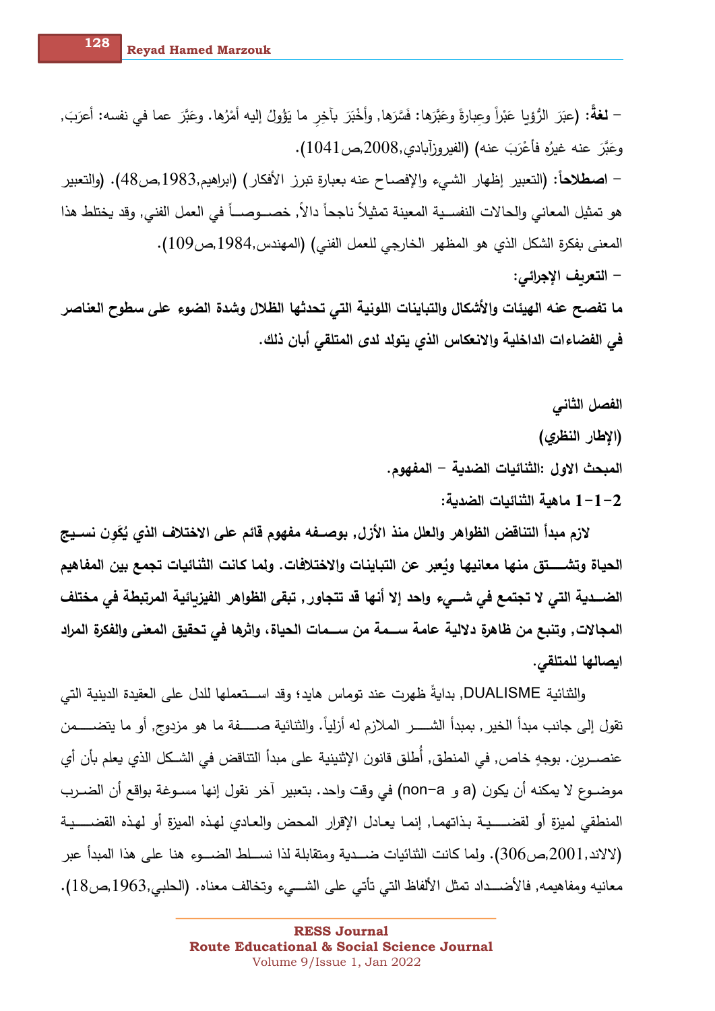– لغةً: (عبَرَ الرُّوْبا عَبْراً وعبارةً وعَبَّرَها: فَسَّرَها, وأخْبَرَ بآخِر ما يَؤُولُ إليه أمْرُها. وعَبَّرَ عما في نفسه: أعرَبَ, وعَبَّرَ عنه غيرُه فأعْرَبَ عنه) (الفيروزآبادي,2008,ص1041). – اصطلاحاً: (التعبير إظهار الشيء والإفصاح عنه بعبارة تبرز الأفكار) (ابراهيم,1983,ص48). (والتعبير هو تمثيل المعاني والحالات النفســية المعينة تمثيلاً ناجحاً دالاً, خصـــوصـــاً في العمل الفني, وقد يختلط هذا المعنى بفكرة الشكل الذي هو المظهر الخارجي للعمل الفني) (المهندس,1984,ص109). – التعريف الإجرائي: ما تفصح عنه الهيئات والأشكال والتباينات اللونية التي تحدثها الظلال وشدة الضوء على سطوح العناصر

في الفضاءات الداخلية والانعكاس الذي يتولد لدى المتلقى أبان ذلك.

الفصل الثاني (الإطار النظري) المبحث الاول :الثنائيات الضدية – المفهوم. ماهية الثنائيات الضدية:  $1\hspace{-0.1mm}-\hspace{-0.1mm}1$  ماهية الثنائيات

لازم مبدأ التناقض الظواهر والعلل منذ الأزل, بوصــفه مفهوم قائم على الاختلاف الذي يُكَون نســيج الحياة وتشـــــتق منها معانيها وبُعبر عن التباينات والاختلافات. ولما كانت الثنائيات تجمع بين المفاهيم الضـــدية التي لا تجتمع في شـــيء وإحد إلا أنها قد تتجاور , تبقى الظواهر الفيزبائية المرتبطة في مختلف المجالات, وتنبع من ظاهرة دلالية عامة ســمة من ســمات الحياة، واثرها في تحقيق المعنى والفكرة المراد ايصالها للمتلقى.

والثنائية DUALISME, بدايةً ظهرت عند توماس هايد؛ وقد اســـتعملها للدل على العقيدة الدينية التي تقول إلى جانب مبدأ الخير , بمبدأ الشـــــر الملازم له أزلياً. والثنائية صــــــفة ما هو مزدوج, أو ما يتضـــــمن عنصـــربن. بوجهٍ خاص, في المنطق, أُطلق قانون الإثنينية على مبدأ التناقض في الشــكل الذي يعلم بأن أي موضــوع لا يمكنه أن يكون (a و non−a) في وقت واحد. بتعبير آخر نقول إنها مســوغة بواقع أن الضــرب المنطقي لميزة أو لقضـــــيـة بـذاتهمـا, إنمـا يعـادل الإقرار المحض والعـادي لهـذه الميزة أو لهـذه القضـــــيـة (لالاند,2001,ص306). ولما كانت الثنائيات ضــدية ومتقابلة لذا نســلط الضـــوء هنا على هذا المبدأ عبر معانيه ومفاهيمه, فالأضـــداد تمثل الألفاظ التي تأتي على الشـــيء وتخالف معناه. (الحلبي,1963,ص18).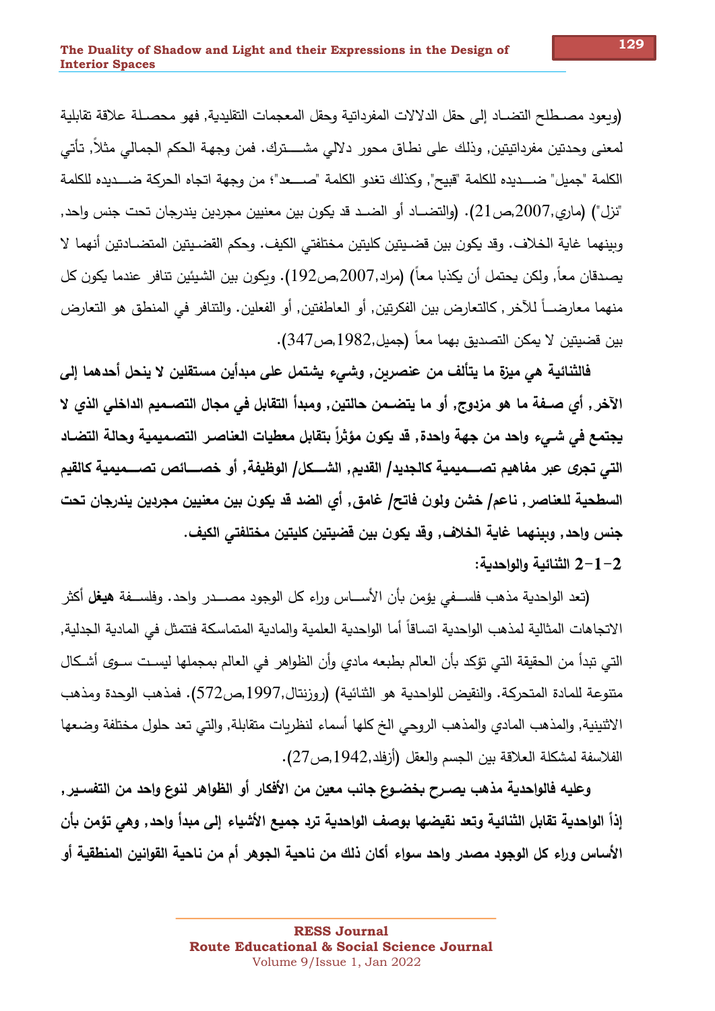(ويعود مصيطلح التضياد إلى حقل الدلالات المفرداتية وحقل المعجمات التقليدية, فهو محصيلة علاقة تقابلية لمعنى وحدتين مفرداتيتين٬ وذلك على نطاق محور دلالي مشـــــترك. فمن وجهة الحكم الجمالي مثلا٬ تأتي الكلمة "جميل" ضــــديده للكلمة "قبيح", وكذلك تغدو الكلمة "صـــــعد"؛ من وجهة اتجاه الحركة ضــــديده للكلمة "نزل") (ماري,2007,ص21). (والتضــاد أو الضــد قد يكون بين معنيين مجردين يندرجان تحت جنس واحد, وبينهما غاية الخلاف. وقد يكون بين قضـيتين كليتين مختلفتي الكيف. وحكم القضـيتين المتضـادتين أنهما لا يصدقان معاً, ولكن يحتمل أن يكذبا معاً) (مراد,2007,ص192). وبكون بين الشيئين تتافر ِ عندما يكون كل منهما معارضـــاً للآخر , كالتعارض بين الفكرتين, أو العاطفتين, أو الفعلين. والتنافر في المنطق هو التعارض بين قضيتين لا يمكن التصديق بهما معاً (جميل,1982,ص347).

فالثنائية هي ميزة ما يتألف من عنصربن٬ وشيء يشتمل على مبدأين مستقلين لا ينحل أحدهما إلى الآخر , أي صــفة ما هو مزدوج, أو ما يتضـمن حالتين, ومبدأ التقابل في مجال التصــميم الداخلي الذي لا يجتمع في شـيء وإحد من جهة وإحدة٬ قد يكون مؤثراً بتقابل معطيات العناصـر التصـميمية وحالة التضـاد التي تجري عبر مفاهيم تصـــميمية كالجديد/ القديم٬ الشـــكل/ الوظيفة٬ أو خصــــائص تصـــميمية كالقيم السطحية للعناصر , ناعم/ خشن ولون فاتح/ غامق٬ أي الضد قد يكون بين معنيين مجردين يندرجان تحت جنس وإحد٬ وبينهما غاية الخلاف٬ وقد يكون بين قضيتين كليتين مختلفتي الكيف. 2–1–2 الثنائية وإلوإحدية:

(تعد الواحدية مذهب فلســـفي يؤمن بأن الأســــاس وراء كل الوجود مصـــــدر واحد. وفلســـفة **هيغل** أكثر الاتجاهات المثالية لمذهب الواحدية اتساقاً أما الواحدية العلمية والمادية المتماسكة فتتمثل في المادية الجدلية, التي تبدأ من الحقيقة التي تؤكد بأن العالم بطبعه مادي وأن الظواهر في العالم بمجملها ليست سـوي أشـكال متنوعة للمادة المتحركة. والنقيض للواحدية هو الثنائية) (روزنتال,1997,ص572). فمذهب الوحدة ومذهب الاثنينية٬ والمذهب المادي والمذهب الروحي الخ كلها أسماء لنظربات متقابلة٬ والتي تعد حلول مختلفة وضعها الفلاسفة لمشكلة العلاقة بين الجسم والعقل (أزفلد,1942,ص27).

وعليه فالواحدية مذهب يصـرح بخضـوع جانب معين من الأفكار أو الظواهر لنوع واحد من التفسـير٬ إذاً الواحدية تقابل الثنائية وتعد نقيضها بوصف الواحدية ترد جميع الأشياء إلى مبدأ واحد٬ وهي تؤمن بأن الأساس وراء كل الوجود مصدر واحد سواء أكان ذلك من ناحية الجوهر أم من ناحية القوانين المنطقية أو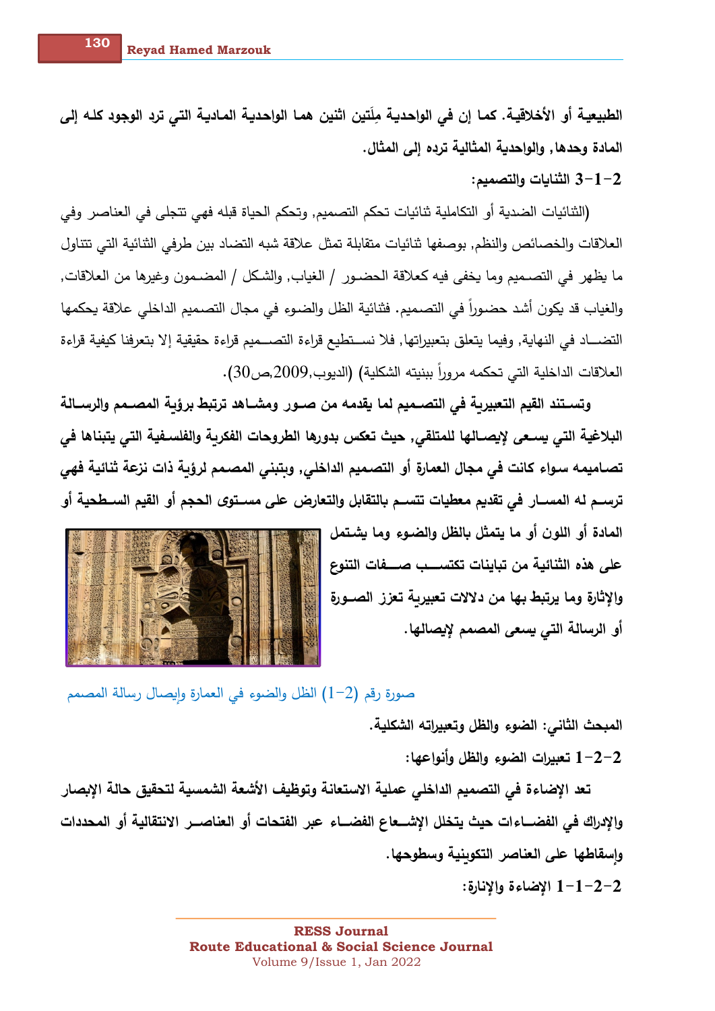الطبيعيـة أو الأخلاقيـة. كمـا إن في الواحديـة مِلَتين اثنين همـا الواحديـة المـاديـة التي ترد الوجود كلـه إلى المادة وحدها, والواحدية المثالية ترده إلى المثال.

3-1-2 الثنايات والتصميم:

(الثنائيات الضدية أو التكاملية ثنائيات تحكم التصميم, وتحكم الحياة قبله فهي تتجلى في العناصر وفي العلاقات والخصائص والنظم, بوصفها ثنائيات متقابلة تمثل علاقة شبه التضاد بين طرفي الثنائية التي تتناول ما يظهر في التصـميم وما يخفي فيه كعلاقة الحضـور / الغياب, والشكل / المضـمون وغيرها من العلاقات, والغياب قد يكون أشد حضوراً في التصميم. فثنائية الظل والضوء في مجال التصميم الداخلي علاقة يحكمها التضـــاد في النهاية, وفيما يتعلق بتعبيراتها, فلا نســتطيع قراءة التصـــميم قراءة حقيقية إلا بتعرفنا كيفية قراءة العلاقات الداخلية التي تحكمه مروراً ببنيته الشكلية) (الديوب,2009,ص30).

وتسـتند القيم التعبيرية في التصـميم لما يقدمه من صـور. ومشــاهد ترتبط برؤبـة المصــمم والرســالـة البلاغية التي يسعى لإيصــالها للمتلقي٬ حيث تعكس بدورها الطروحات الفكربـة والفلسـفيـة التي يتبنـاها في تصـاميمـه سـواء كانت في مجال الـعمارة أو التصـميم الداخلي, وبتبني المصـمم لرؤبـة ذات نزعة ثنائيـة فهي ترسـم لـه المســار فـي تقديم معطيات تتســم بالتقابل والتعارض على مســتوى الـحجم أو القيم الســطحية أو

> المادة أو اللون أو ما يتمثل بالظل والضـوءِ وما يشـتمل على هذه الثنائية من تباينات تكتســب صـــفات التنوع والاثارة وما يرتبط بها من دلالات تعبيربة تعزز الصبورة أو الرسالة التي يسعى المصمم لإيصالها.



صورةِ رقم (2–1) الظل والضوءِ في العمارةِ وايصالِ رسالةِ المصممِ

المبحث الثاني: الضوء والظل وتعبيراته الشكلية. 1–2–1 تعبيرات الضوء والظل وأنواعها:

تعد الإضاءة في التصميم الداخلي عملية الاستعانة وتوظيف الأشعة الشمسية لتحقيق حالة الإبصار وإلإدراك في الفضـــاءات حيث يتخلل الإشـــعاع الفضـــاء عبر الفتحات أو العناصـــر الانتقالية أو المحددات وإسقاطها على العناصر التكوينية وسطوحها.

الإضاءة والإنارة:  $1\negmedspace-\negmedspace1$ -1 الإضاءة ا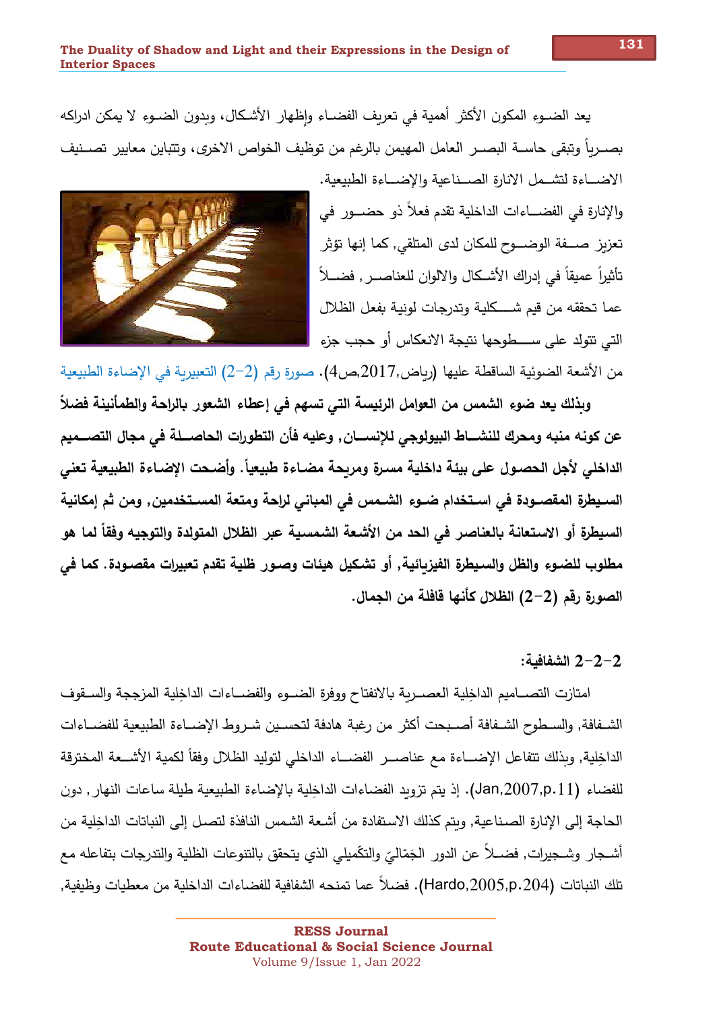يعد الضــوء المكون الأكثر أهمية في تعريف الفضــاء واظهار الأشـكال، ويدون الضــوء لا يمكن ادراكه بصــرباً وتبقى حاســة البصــر العامل المهيمن بالرغم من توظيف الخواص الاخرى، وتتباين معايير تصــنيف الاضــاءة لتشــمل الانارة الصــناعية والإضــاءة الطبيعية. والإنارة في الفضـــاءات الداخلية تقدم فعلاً ذو حضـــور في تعزيز \_صـــفة الوضــــوح للمكان لدى المتلقى, كما إنها تؤثر\_

تأثيراً عميقاً في إدراك الأشـكال والالوان للعناصــر , فضـــلاً عما تحققه من قيم شـــــكلية وتدرجات لونية بفعل الظلال التي تتولد على ســــطوحها نتيجة الانعكاس أو حجب جزء



وبذلك يعد ضوء الشمس من العوامل الرئيسة التي تسهم في إعطاء الشعور بالراحة والطمأنينة فضلاً عن كونه منبه ومحرك للنشساط البيولوجي للإنسسان٬ وعليه فأن التطورات الحاصسلة في مجال التصسميم الداخلي لأجل الحصـول على بيئة داخلية مسـرة ومريحة مضـاءة طبيعياً. وأضـحت الإضـاءة الطبيعية تعني السـيطرةِ المقصــودة في اسـتخدام ضــوءِ الشــمس في المباني لراحـة ومتعة المسـتخدمين, ومن ثم إمكانيـة السيطرة أو الاستعانـة بالـعناصـر في الـحد من الأشـعة الشـمسيـة عبر الظلال المتولدة والتوجيه وفقاً لمـا هو مطلوب للضـوءِ والظل والسـيطرةِ الفيزبـائيـة, أو تشـكيل هيئـات وصـور ظليـة تقدم تعبيرات مقصـودة. كمـا في الصورة رقم (2–2) الظلال كأنها قافلة من الجمال.

من الأشعة الضوئية الساقطة عليها (رباض,2017,ص4). صورة رقم (2–2) التعبيربة في الإضاءة الطبيعية

## 2-2-2 الشفافية:

امتازت التصــاميم الداخلية العصــربة بالانفتاح ووفرة الضــوء والفضــاءات الداخلية المزججة والســقوف الشـفافة, والسـطوح الشـفافة أصـبحت أكثر من رغبة هادفة لتحسـين شـروط الإضــاءة الطبيعية للفضــاءات الداخلية, وبذلك تتفاعل الإضـــاءة مع عناصــر الفضـــاء الداخلي لتوليد الظلال وفقاً لكمية الأشـــعة المخترقة للفضاء (Jan,2007,p.11). إذ يتم تزويد الفضاءات الداخلية بالإضاءة الطبيعية طيلة ساعات النهار٬ دون الحاجة إلى الإنارة الصناعية, ويتم كذلك الاستفادة من أشعة الشمس النافذة لتصل إلى النباتات الداخلية من أشـجار ِ وشـجيرات, فضــلاً عن الدور ِ الجَمّاليّ والتكّميلي الذي يتحقق بالتنوعات الظلية والتدرجات بتفاعله مع تلك النباتات (Hardo,2005,p.204). فضلاً عما تمنحه الشفافية للفضاءات الداخلية من معطيات وظيفية,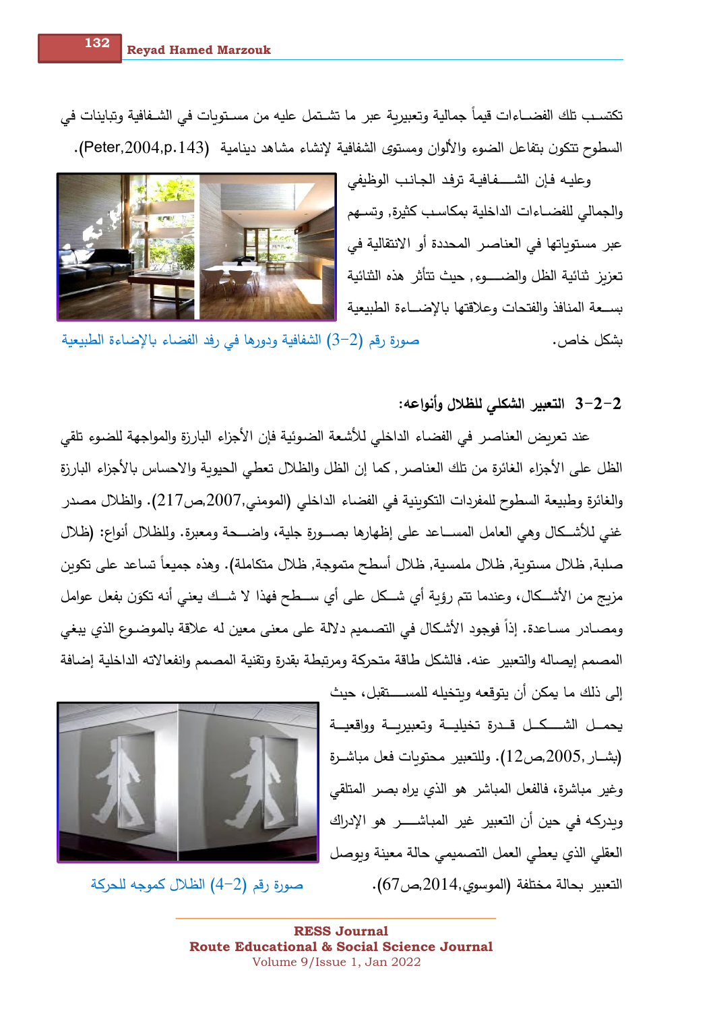تكتسب تلك الفضـــاءات قيماً جمالية وتعبيربة عبر ما تشــتمل عليه من مسـتوبات في الشــفافية وتباينات في السطوح تتكون بتفاعل الضوء والألوان ومستوى الشفافية لإنشاء مشاهد دينامية (Peter,2004,p.143).

> وعليـه فـإن الشـــــفـافيــة ترفد الـجـانـب الوظيفي والجمالي للفضــاءات الداخلية بمكاسـب كثيرة, وتســهم عبر مستوياتها في العناصر المحددة أو الانتقالية فى تعزبز شائية الظل والضـــــوءِ, حيث تتأثر ٍ هذه الشائية بسعة المنافذ والفتحات وعلاقتها بالإضــاءة الطبيعية



.صاخ لh ) ]\Gقر ةر?ص 3-2) ة0ع0R^لا ةءاضلإا[ ءاIفلا 5فر يف اهرودو ة0فاف\لا

# 2-2<sup>-</sup>3 التعبير الشكلى للظلال وأنواعه:

عند تعريض العناصر في الفضاء الداخلي للأشعة الضوئية فإن الأجزاء البارزة والمواجهة للضوء تلقي الظل على الأجزاء الغائرة من تلك العناصر , كما إن الظل والظلال تعطي الحيوبة والاحساس بالأجزاء البارزة والغائرة وطبيعة السطوح للمفردات التكوينية في الفضاء الداخلي (المومني,2007,ص217). والظلال مصدر غني للأشــكال وهي العامل المســـاعد على إظهارها بصـــورة جلية، واضــــحة ومعبرة. وللظلال أنواع: (ظلال صلبة, ظلال مستوية, ظلال ملمسية, ظلال أسطح متموجة, ظلال متكاملة). وهذه جميعا تساعد على تكوين نزيج من الأشـــكال، وعندما تتم رؤية أي شـــكل علـى أي ســـطح فهذا لا شـــك يعني أنـه تكوَن بفعل عوامل ومصــادر مسـاعدة. إذا فوجود الأشكال في التصـميم دلالة على معنى معين له علاقة بالموضـوع الذي يبغي المصمم إيصاله والتعبير عنه. فالشكل طاقة متحركة ومرتبطة بقدرة وتقنية المصمم وانفعالاته الداخلية إضافة

إلى ذلك ما يمكن أن يتوقعه وبتخيله للمســــتقبل، حيث يحمــل الشــــكــل قــدرة تخيليــة وتعبيريــة وواقعيــة بشــار ,2005,ص12). وللتعبير محتوبات فعل مباشـرة وغير مباشرة، فالفعل المباشر هو الذي يراه بصر المتلقى وبدركه في حين أن التعبير غير المباشـــــر هو الإدراك العقلي الذي يعطي العمل التصميمي حالة معينة وبوصل التعبير بحالة مختلفة (الموسوى,2014,ص67). صورة رقم (2–4) الظلال كموجه للحركة

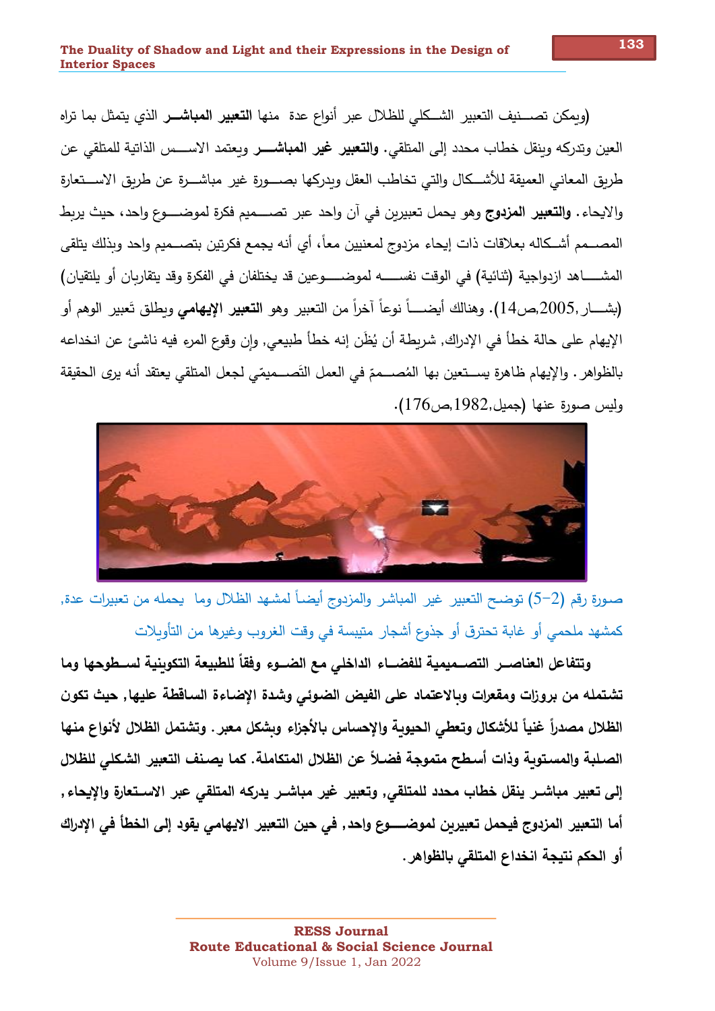(ويمكن تصـــــــنيف التعبير الشـــكلي للظلال عبر أنواع عدة منها ا**لتعبير المباشــــر** الذي يتمثل بما تراِه العين وتدركه وبنقل خطاب محدد إلى المتلقى. **والتعبير غير المباشـــر** وبعتمد الاســـس الذاتية للمتلقى عن طربق المعاني العميقة للأشكال والتي تخاطب العقل وبدركها بصسورة غير مباشــرة عن طربق الاســـتعارة والايحاء . **والتعبير المزدوج** وهو يحمل تعبيربن في آن واحد عبر تصــــميم فكرة لموضــــوع واحد، حيث يربط المصـــمم أشــكاله بعلاقات ذات إيحاء مزدوج لمعنيين معاً، أي أنه يجمع فكرتين بتصـــميم وإحد وبذلك يتلقى المشـــــاهد ازدواجية (ثنائية) في الوقت نفســـــه لموضــــــوعين قد يختلفان في الفكرة وقد يتقاربان أو يلتقيان) (بشــــار ,2005,ص14). وهنالك أيضـــــاً نوعاً آخراً من التعبير وهو ا**لتعبي**ر ا**لإيهامي** وبطلق تَعبير الوهم أو الإيهام على حالة خطأ في الإدراك, شربطة أن يُظَن إنه خطأ طبيعي, وإن وقوع المرءِ فيه ناشئ عن انخداعه بالظواهر . والإيهام ظاهرة يســتعين بها المُصـــممّ في العمل التَصـــميمّي لـجعل المتلقي يعتقد أنه يرى الحقيقة وليس صورة عنها (جميل,1982,ص176).



صورة رقم (2–5) توضح التعبير غير المباشر والمزدوج أيضاً لمشهد الظلال وما يحمله من تعبيرات عدة, كمشهد ملحمي أو غابة تحترق أو جذوع أشجار متيبسة في وقت الغروب وغيرها من التأوبلات

وتتفاعل العناصــر التصــميمية للفضــاء الداخلي مع الضــوء وفقاً للطبيعة التكوينية لســطوحها وما تشتمله من بروزات ومقعرات وبالاعتماد على الفيض الضوئي وشدة الإضاءة الساقطة عليها, حيث تكون الظلال مصدراً غنياً للأشكال وتعطي الحيوبة والإحساس بالأجزاء وبشكل معبر . وتشتمل الظلال لأنواع منها الصلبة والمستوبة وذات أسطح متموجة فضلاً عن الظلال المتكاملة. كما يصنف التعبير الشكلي للظلال إلى تعبير مباشـر ينقل خطاب محدد للمتلقى, وتعبير غير مباشـر يدركه المتلقى عبر الاسـتعارة والإيحاء, أما التعبير المزدوج فيحمل تعبيربن لموضـــــوع وإحد٬ في حين التعبير الإيهامي يقود إلى الخطأ في الإدراك أو الحكم نتيجة انخداع المتلقى بالظواهر.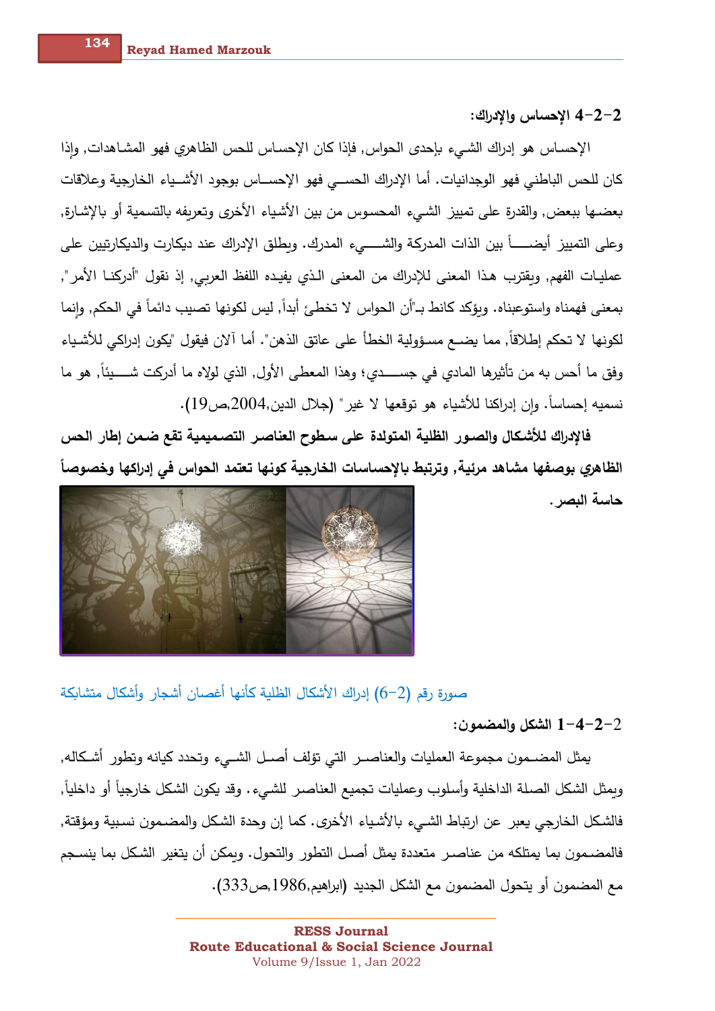2–2–4 الاحساس وإلادراك:

الإحساس هو إدراك الشـيء بإحدى الـحواس٬ فإذا كان الإحسـاس للـحس الظاهري فهو المشـاهدات٬ وإذا كان للحس الباطني فهو الوجدانيات. أما الإدراك الحســي فهو الإحســاس بوجود الأشــياء الخارجية وعلاقات بعضـها ببعض, والقدرة على تمييز الشـيء المحسوس من بين الأشياء الأخرى وتعريفه بالتسمية أو بالإشـارة, وعلى التمييز أيضـــــاً بين الذات المدركة والشـــــيء المدرك. وبطلق الإدراك عند ديكارت والديكارتيين على عمليـات الفهم, وبقترب هـذا المعنى للإدراك من المعنى الـذي يفيـده اللفظ العربي, إذ نقول "أدركنـا الأمر", بمعنى فهمناه واستوعبناه. وبؤكد كانط بـ"أن الحواس لا تخطئ أبداً, ليس لكونها تصيب دائماً في الحكم, وإنما لكونها لا تحكم إطلاقاً, مما يضـع مسـؤولية الخطأ على عاتق الذهن". أما آلان فيقول "يكون إدراكي للأشـياء وفق ما أحس به من تأثيرها المادي في جســــدي؛ وهذا المعطي الأول, الذي لولاه ما أدركت شــــيئاً, هو ما نسميه إحساساً. وإن إدراكنا للأشياء هو توقعها لا غير" (جلال الدين,2004,ص19).

فالإدراك للأشكال والصبور الظلية المتولدة على سطوح العناصر التصميمية تقع ضمن إطار الحس الظاهري بوصفها مشاهد مرئية٬ وترتبط بالإحساسات الخارجية كونها تعتمد الحواس في إدراكها وخصوصاً

حاسة البصر .



صورة رقم (2–6) إدراك الأشكال الظلية كأنها أغصان أشجار وأشكال متشابكة

الشكل والمضمون:  $1 - 4 - 2 - 2$ 

يمثل المضـمون مجموعة العمليات والعناصـر التي تؤلف أصـل الشــيء وتحدد كيانه وتطور أشـكاله, ويمثل الشكل الصلة الداخلية وأسلوب وعمليات تجميع العناصر للشيء. وقد يكون الشكل خارجياً أو داخلياً, فالشكل الخارجي يعبر عن ارتباط الشيء بالأشياء الأخرى. كما إن وحدة الشكل والمضمون نسبية ومؤقتة, فالمضـمون بما يمتلكه من عناصـر متعددة يمثل أصـل التطور والتحول. ويمكن أن يتغير الشكل بما ينسـجم مع المضمون أو يتحول المضمون مع الشكل الجديد (ابراهيم,1986,ص333).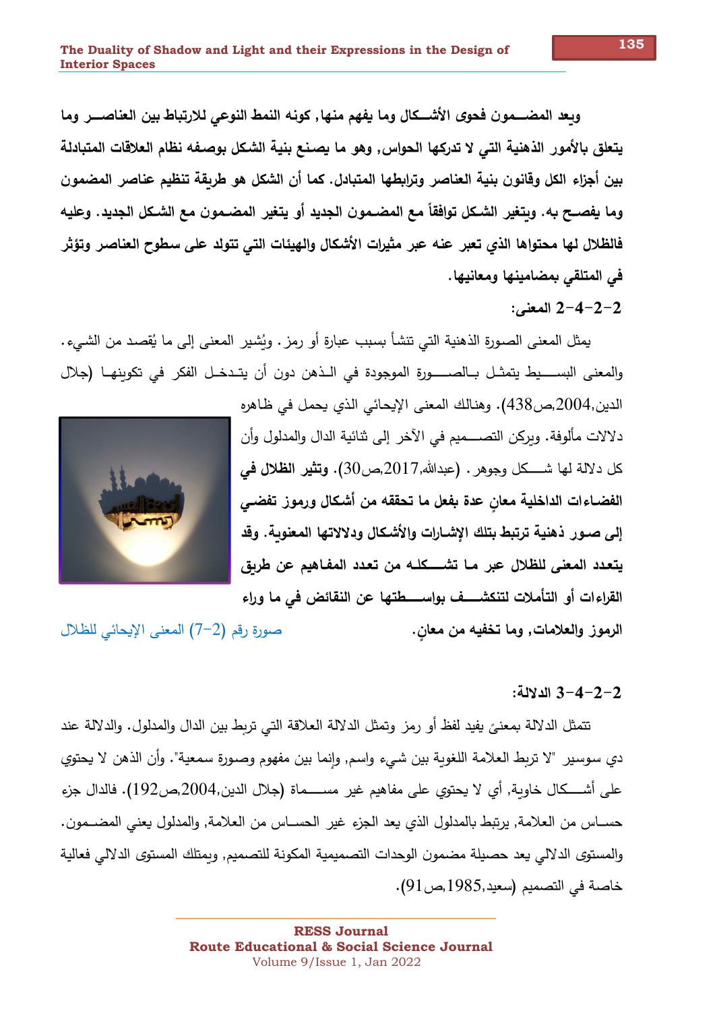وبعد المضــمون فحوى الأشــكال وما يفهم منها, كونه النمط النوعي للارتباط بين العناصـــر وما يتعلق بالأمور الذهنية التي لا تدركها الحواس٬ وهو ما يصنع بنية الشكل بوصفه نظام العلاقات المتبادلة بين أجزاء الكل وقانون بنية العناصر وترابطها المتبادل. كما أن الشكل هو طربقة تنظيم عناصر المضمون وما يفصـح به. وبتغير الشـكل توافقاً مـع المضـمون الـجديد أو يتغير المضـمون مـع الشـكل الـجديد. وعليه فالظلال لها محتواها الذي تعبر عنه عبر مثيرات الأشكال والهيئات التي تتولد على سطوح العناصر وتؤثر في المتلقى بمضامينها ومعانيها.

### 2-2-4-2 المعنى:

يمثل المعنى الصورةِ الذهنية التي تتشأ بسبب عبارةٍ أو رمزٍ . ويُشيرِ المعنى إلى ما يُقصد من الشيء . والمعنى البســــيط يتمثــل بــالصــــــورة الموجودة في الــذهن دون أن يتــدخــل الفكر في تكوينهــا (جلال

الدين,2004,ص438). وهنالك المعنى الإيحائي الذي يحمل في ظاهره دلالات مألوفة. ويركن التصــــميم في الآخر إلى ثنائية الدال والمدلول وأن كل دلالة لها شــــكل وجوهر . (عبدالله,2017,ص30). وتثير الظلال في الفضـاءات الداخليـة معان عدة بفعل ما تحققه من أشكال ورموز تفضـي إلى صــور ذهنيـة ترتبط بتلك الإشــارات والأشـكال ودلالاتـها المعنوبـة. وقد يتعدد المعنى للظلال عبر مـا تشـــــكلــه من تعدد المفـاهيم عن طربق القراءات أو التأملات لتنكشـــف بواســــطتها عن النقائض في ما وراء

صورة رقم (2–7) المعنى الإيحائي للظلال

### 2-2-4-3 الدلالة:

الرموز والعلامات, وما تخفيه من معان.

تتمثل الدلالة بمعنىً يفيد لفظ أو رمز وتمثل الدلالة العلاقة التي تربط بين الدال والمدلول. والدلالة عند دي سوسير "لا تربط العلامة اللغوية بين شيء واسم, وإنما بين مفهوم وصورة سمعية". وأن الذهن لا يحتوي على أشــــكال خاوبـة, أي لا يحتوي على مفاهيم غير مســـــماة (جلال الدين,2004,ص192). فالدال جزء حســاس من الـعلامة, يرتبط بالمدلول الذي يعد الجزء غير الـحســاس من الـعلامة, والمدلول يعني المضــمون. والمستوى الدلالي يعد حصيلة مضمون الوحدات التصميمية المكونة للتصميم, وبمتلك المستوى الدلالي فعالية خاصة في التصميم (سعيد,1985,ص91).

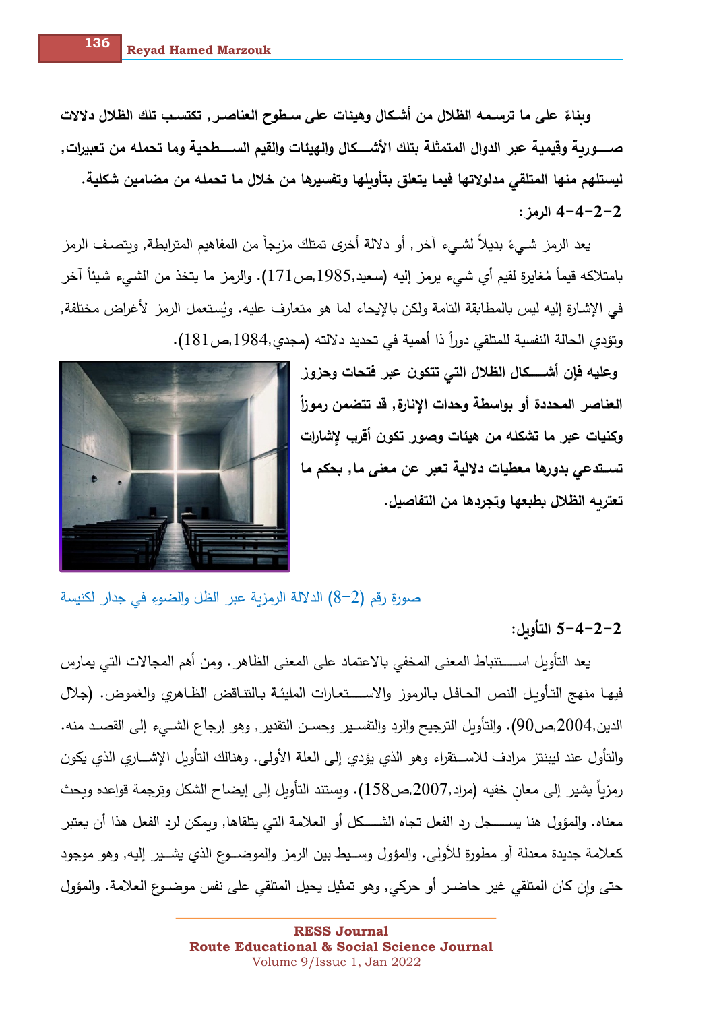وبناءً على ما ترسمه الظلال من أشكال وهيئات على سطوح العناصر , تكتسب تلك الظلال دلالات صــــــوريــة وقيميــة عبر الدوال المتمثلـة بتلك الأشـــــكال والـهيئات والقيم الســـــطحيـة وما تحمله من تعبيرات, ليستلهم منها المتلقى مدلولاتها فيما يتعلق بتأوبلها وتفسيرها من خلال ما تحمله من مضامين شكلية. 2−2−4 الرمز:

يعد الرمز شـيءَ بديلاً لشـيء آخر , أو دلالة أخرى تمتلك مزبجاً من المفاهيم المترابطة, وبتصـف الرمز بامتلاكه قيماً مُغايرة لقيم أي شبيء يرمز إليه (سعيد,1985,ص171). والرمز ما يتخذ من الشبيء شيئاً آخر في الإشارة إليه ليس بالمطابقة التامة ولكن بالإيحاء لما هو متعارف عليه. ويُستعمل الرمز لأغراض مختلفة, وتؤدي الحالة النفسية للمتلقى دوراً ذا أهمية في تحديد دلالته (مجدي,1984,ص181).

> وعليه فإن أشــــكال الظلال التي تتكون عبر فتحات وحزوز العناصر المحددة أو بواسطة وحدات الإنارة, قد تتضمن رموزاً وكنيات عبر ما تشكله من هيئات وصور تكون أقرب لإشارات تسـتدعى بدورها معطيات دلالية تعبر عن معنى ما, بحكم ما تعتربه الظلال بطبعها وتجردها من التفاصيل.



صورة رقم (2–8) الدلالة الرمزية عبر الظل والضوء في جدار لكنيسة

2−2−4−5 التأوبل:

يعد التأويل اســــتنباط المعنى المخفى بالاعتماد على المعنى الظاهر . ومن أهم المجالات التي يمارس فيهـا منهج التـأوبـل النص الـحـافـل بـالرموز والاســــتعـارات المليئـة بـالتنـاقض الظـاهري والغموض. (جلال الدين,2004,ص90). والتأويل الترجيح والرد والتفسـير وحسـن التقدير , وهو إرجاع الشــيء إلـي القصــد منـه. والتأول عند ليبنتز مرادف للاســتقراء وهو الذي يؤدي إلى العلة الأولى. وهنالك التأويل الإشـــاري الذي يكون رمزياً يشير إلى معان خفيه (مراد,2007,ص158). ويستند التأويل إلى إيضاح الشكل وترجمة قواعده وبحث معناه. والمؤول هنا يســـــــجل رد الفعل تجاه الشـــــكل أو الـعلامة التـي يتلقاها, وبمكن لرد الفعل هذا أن يعتبر كعلامة جديدة معدلة أو مطورة للأولى. والمؤول وســيط بين الرمز والموضـــوع الذي يشــير إليه, وهو موجود حتى وإن كان المتلقى غير حاضـر أو حركي, وهو تمثيل يحيل المتلقى على نفس موضـوع الـعلامة. والمؤول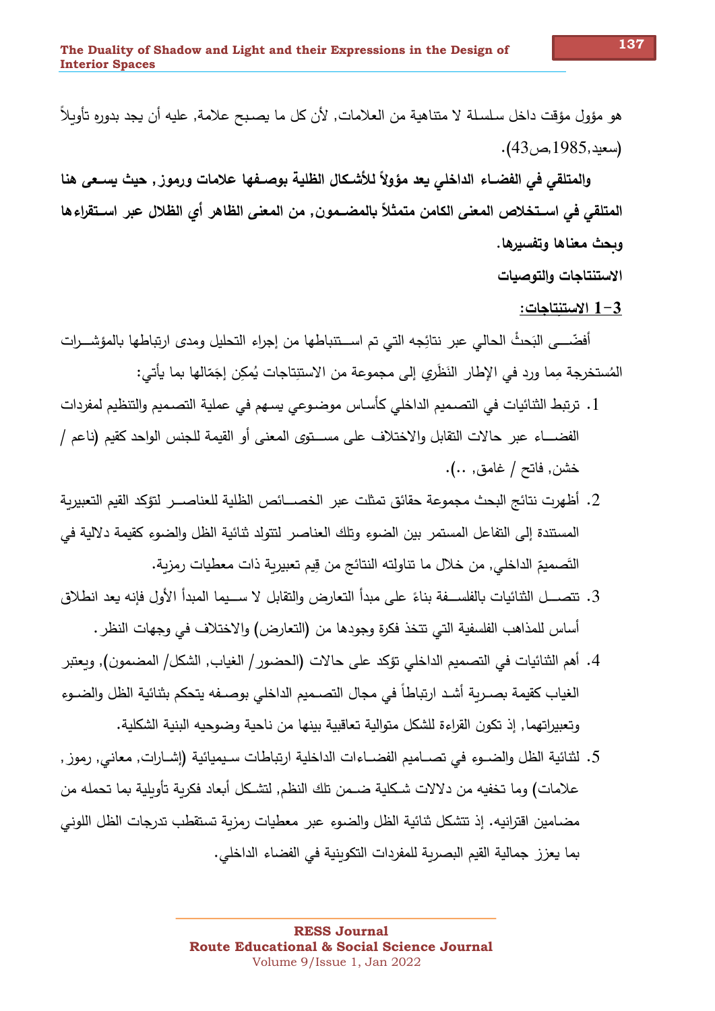هو مؤول مؤقت داخل سلسلة لا متناهية من العلامات, لأن كل ما يصبح علامة, عليه أن يجد بدوره تأويلاً (سعيد,1985,ص43).

والمتلقى في الفضــاء الداخلي يـعد مؤولاً للأشـكال الظليـة بوصــفها علامات ورموز , حيث يســعي هنا المتلقى في اســتخلاص المعنى الكامن متمثلاً بالمضــمون, من المعنى الظاهر أي الظلال عبر اســتقراءها وبحث معناها وتفسيرها.

الاستنتاجات والتوصيات

1-3 الاستنتاجات:

أفضّـــي البَحثْ الحالي عبر نتائِجه التي تم اســتنباطها من إجراء التحليل ومدى ارتباطها بالمؤشـــرات المُستخرجة مِما ورد في الإطار ِ النَظري إلى مجموعة من الاستنِتاجات يُمكِن إجَمّالها بما يأتي:

- 1. ترتبط الثنائيات في التصميم الداخلي كأساس موضـوعي يسـهم في عملية التصـميم والتنظيم لمفردات الفضــــاء عبر حالات التقابل والاختلاف على مســـتوي المعنى أو القيمة للجنس الواحد كقيم (ناعم / خشن, فاتح / غامق, ..).
- 2. أظهرت نتائج البحث مجموعة حقائق تمثلت عبر الخصـــائص الظلية للعناصـــر لتؤكد القيم التعبيربة المستندة إلى التفاعل المستمر بين الضوء وتلك العناصر لتتولد ثنائية الظل والضوء كقيمة دلالية في التَصميمَ الداخلي, من خلال ما تناولته النتائج من قِيم تعبيرية ذات معطيات رمزية.
- 3. تتصـــل الثنائيات بالفلســـفة بناءً على مبدأ التعارض والتقابل لا ســـيما المبدأ الأول فإنه يعد انطلاق أساس للمذاهب الفلسفية التي تتخذ فكرةٍ وجودها من (التعارض) والاختلاف في وجهات النظر .
- 4. أهم الثنائيات في التصميم الداخلي تؤكد على حالات (الحضور / الغياب, الشكل/ المضمون), وبعتبر الغياب كقيمة بصـربـة أشـد ارتباطاً في مجال التصـميم الداخلي بوصـفه يتحكم بثنائية الظل والضــوء وتعبيراتهما, إذ تكون القراءة للشكل متوالية تعاقبية بينها من ناحية وضوحيه البنية الشكلية.
- 5. لثنائية الظل والضـوء في تصــاميم الفضــاءات الداخلية ارتباطات سـيميائية (إشــارات, معاني, رموز , علامات) وما تخفيه من دلالات شكلية ضـمن تلك النظم, لتشـكل أبعاد فكربة تأوبلية بما تحمله من مضامين اقترانيه. إذ تتشكل ثنائية الظل والضوء عبر معطيات رمزبة تستقطب تدرجات الظل اللوني بما يعزز جمالية القيم البصربة للمفردات التكوبنية في الفضاء الداخلي.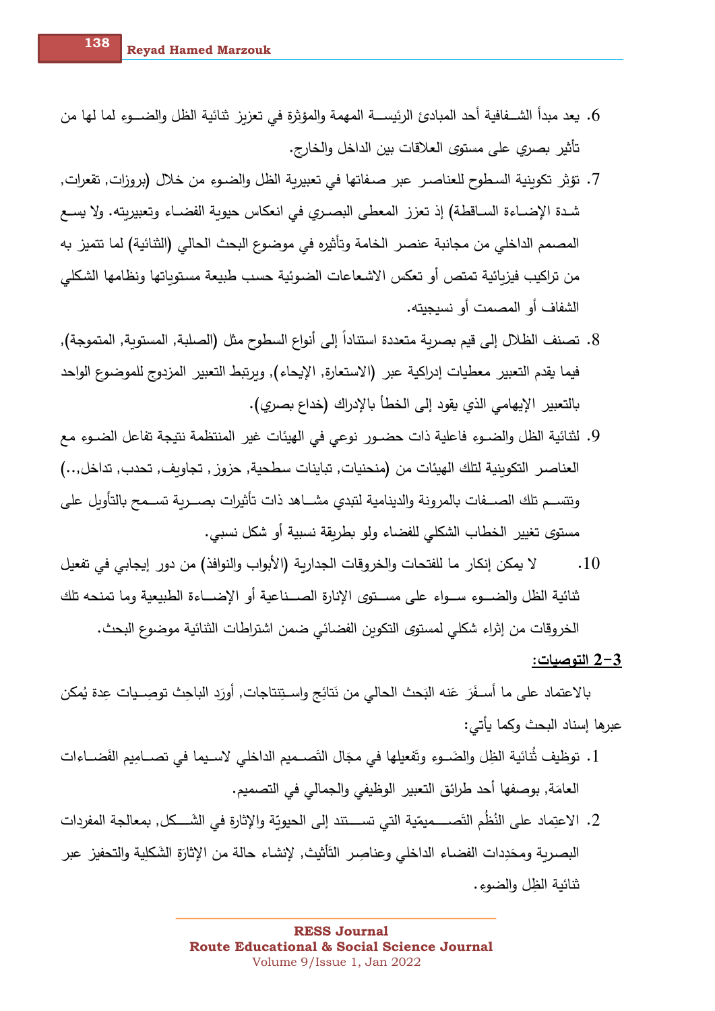- 6. يعد مبدأ الشــفافية أحد المبادئ الرئيســة المهمة والمؤثرة في تعزيز ثنائية الظل والضـــوء لما لها من تأثير بصري على مستوى العلاقات بين الداخل والخارج.
- 7. تؤثر تكوبنية السطوح للعناصـر عبر صـفاتها في تعبيربة الظل والضـوءِ من خلال (بروزات, تقعرات, شدة الإضـاءة السـاقطـة) إذ تعزز المعطـى البصـري في انعكاس حيوية الفضـاء وتعبيريته. ولا يسـع المصمم الداخلي من مجانبة عنصر الخامة وتأثيره في موضوع البحث الحالي (الثنائية) لما تتميز به من تراكيب فيزبائية تمتص أو تعكس الاشعاعات الضوئية حسب طبيعة مستوياتها ونظامها الشكلى الشفاف أو المصمت أو نسيجيته.
- 8. تصنف الظلال إلى قيم بصربة متعددة استناداً إلى أنواع السطوح مثل (الصلبة, المستوبة, المتموجة), فيما يقدم التعبير معطيات إدراكية عبر (الاستعارة, الإيحاء), وبرتبط التعبير المزدوج للموضوع الواحد بالتعبير الإيهامي الذي يقود إلى الخطأ بالإدراك (خداع بصري).
- 9. لثنائية الظل والضـوءِ فاعلية ذات حضـور نوعي في الهيئات غير المنتظمة نتيجة تفاعل الضـوءِ مع العناصر التكوبنية لتلك الهيئات من (منحنيات, تباينات سطحية, حزوز , تجاوبف, تحدب, تداخل,..) وتتســم تلك الصـــفات بالمرونة والدينامية لتبدى مشـــاهد ذات تأثيرات بصـــربة تســمح بالتأوبل على مستوى تغيير الخطاب الشكلي للفضاء ولو بطربقة نسبية أو شكل نسبي.
- لا يمكن إنكار ما للفتحات والخروقات الجداربة (الأبواب والنوافذ) من دور إيجابي في تفعيل  $.10$ ثنائية الظل والضـــوءِ ســـواءِ على مســـتوى الإنارةِ الصـــناعية أو الإضـــاءة الطبيعية وما تمنحه تلك الخروقات من إثراء شكلي لمستوى التكوبن الفضائي ضمن اشتراطات الثنائية موضوع البحث.

#### 2-3 التوصيات:

بالاعتماد على ما أسـفَرَ عَنه البَحث الحالي من نَتائِج واسـتِنتاجات, أورَدِ الباحث توصِــيات عِدة يُمكن عبرها إسناد البحث وكما يأتي:

- 1. توظيف ثُنائية الظِل والضَــوءِ وتَفعيلها في مجَال التَصــميم الداخلي لاسـيما في تصــامِيم الفَضــاءات العامَة, بوصفها أحد طرائق التعبير الوظيفي والجمالي في التصميم.
- 2. الاعتِماد على النُظُم التَصــــميمّية التي تســـتند إلى الحيويّة والإثارة في الشَــــكل, بمعالجة المفردات البصربة ومحَدِدات الفضـاء الداخلي وعناصِر التَأْثيث, لإنشـاء حالة من الإثارَةِ الشَكلية والتحفيز عبر ثنائية الظل والضوء.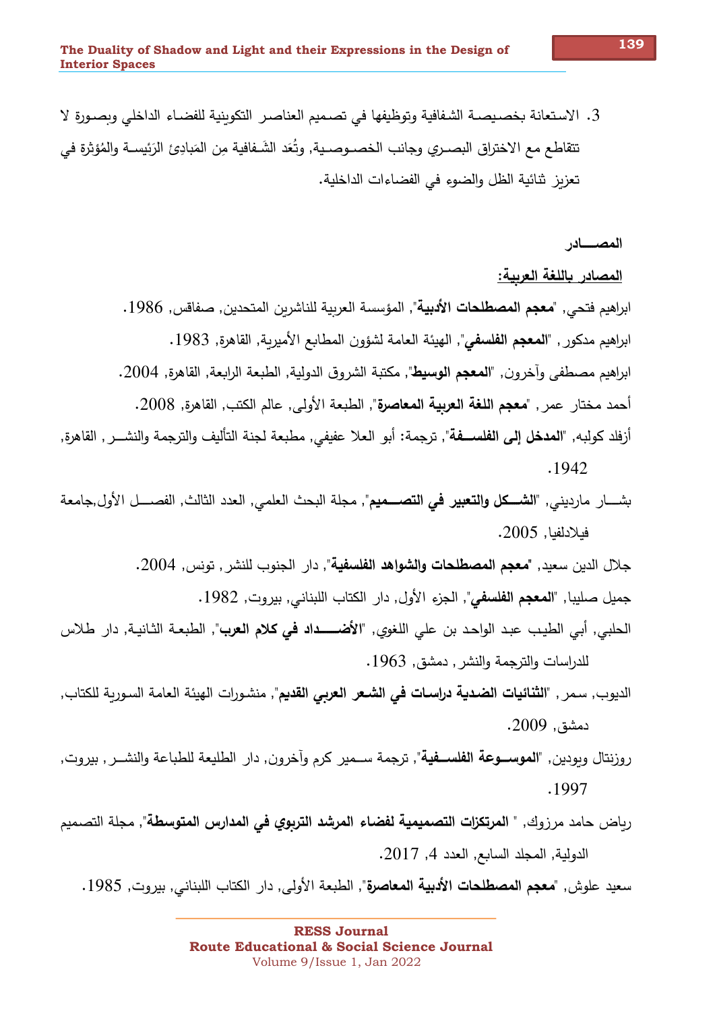3. الاستعانة بخصيصية الشفافية وتوظيفها في تصميم العناصر التكوينية للفضياء الداخلي ويصبورة لا تتقاطع مع الاختراق البصـري وجانب الخصــوصـية, وتُعَد الشَـفافية مِن المَبادِئ الرَئيسـة والمُؤثرة في تعزيز شائية الظل والضوءِ في الفضاءات الداخلية.

المصسادر

المصادر باللغة العربية:

ابراهيم فتحي٬ "**معجم المصطلحات الأدبية**"٬ المؤسسة العربية للناشربن المتحدين٬ صفاقس٬ 1986. ابراهيم مدكور , "المعجم الفلسفي", الهيئة العامة لشؤون المطابع الأميرية, القاهرة, 1983. ابراهيم مصطفى وآخرون٬ "**المعجم الوسيط**"٬ مكتبة الشروق الدولية٬ الطبعة الرابعة٬ القاهرة٬ 2004. أحمد مختار عمر , "**معجم اللغة العربية المعاصرة**", الطبعة الأولى, عالم الكتب, القاهرة, 2008. أزفلد كولبه, "**المدخل إلى الفلســفة**", ترجمة: أبو العلا عفيفي, مطبعة لجنة التأليف والترجمة والنشـــر , القاهرة,

 $.1942$ 

بشــــار مارديني, "ا**نشــــكل والتعبير في التصــــميم**", مجلة البحث العلمي, العدد الثالث, الفصــــل الأول,جامعة فيلادلفيا, 2005.

جلال الدين سعيد, "**معجم المصطلحات والشواهد الفلسفية**", دار الجنوب للنشر , تونس, 2004.

جميل صليبا, "**المعجم الفلسفي**", الجزء الأول, دار الكتاب اللبناني, بيروت, 1982.

- الحلبي, أبي الطيب عبد الواحد بن علي اللغوي, "**الأضــــداد في كلام العرب**", الطبعـة الثـانيـة, دار طلاس للدراسات والترجمة والنشر , دمشق, 1963.
- الديوب, سمر , "**الثنائيات الضدية دراسـات في الشـعر الـعربي القديم**", منشـورات الـهيئة الـعامة السـورية للكتاب, دمشق, 2009.
- روزنتال وبودين٬ "**الموســوعة الفلســفية**"٬ ترجمة ســمير كرم وأخرون٬ دار الطليعة للطباعة والنشــر ٬ بيروت٬ .1997
- رباض حامد مرزوك, " ا**لمرتكزات التصميمية لفضاء المرشد التربوي في المدارس المتوسطة**", مجلة التصميم الدولية, المجلد السابع, العدد 4, 2017.

سعيد علوش, "**معجم المصطلحات الأدبية المعاصرة**", الطبعة الأولى, دار الكتاب اللبناني, بيروت, 1985.